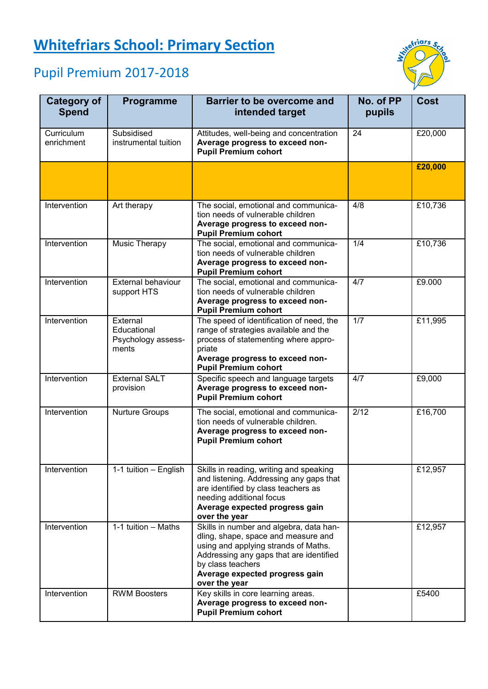## **Whitefriars School: Primary Section**

## Pupil Premium 2017-2018



| <b>Category of</b><br><b>Spend</b> | Programme                                              | <b>Barrier to be overcome and</b><br>intended target                                                                                                                                                                                      | No. of PP<br>pupils | <b>Cost</b> |
|------------------------------------|--------------------------------------------------------|-------------------------------------------------------------------------------------------------------------------------------------------------------------------------------------------------------------------------------------------|---------------------|-------------|
| Curriculum<br>enrichment           | Subsidised<br>instrumental tuition                     | Attitudes, well-being and concentration<br>Average progress to exceed non-<br><b>Pupil Premium cohort</b>                                                                                                                                 | 24                  | £20,000     |
|                                    |                                                        |                                                                                                                                                                                                                                           |                     | £20,000     |
| Intervention                       | Art therapy                                            | The social, emotional and communica-<br>tion needs of vulnerable children<br>Average progress to exceed non-<br><b>Pupil Premium cohort</b>                                                                                               | 4/8                 | £10,736     |
| Intervention                       | Music Therapy                                          | The social, emotional and communica-<br>tion needs of vulnerable children<br>Average progress to exceed non-<br><b>Pupil Premium cohort</b>                                                                                               | 1/4                 | £10,736     |
| Intervention                       | <b>External behaviour</b><br>support HTS               | The social, emotional and communica-<br>tion needs of vulnerable children<br>Average progress to exceed non-<br><b>Pupil Premium cohort</b>                                                                                               | 4/7                 | £9.000      |
| Intervention                       | External<br>Educational<br>Psychology assess-<br>ments | The speed of identification of need, the<br>range of strategies available and the<br>process of statementing where appro-<br>priate<br>Average progress to exceed non-<br><b>Pupil Premium cohort</b>                                     | 1/7                 | £11,995     |
| Intervention                       | <b>External SALT</b><br>provision                      | Specific speech and language targets<br>Average progress to exceed non-<br><b>Pupil Premium cohort</b>                                                                                                                                    | 4/7                 | £9,000      |
| Intervention                       | <b>Nurture Groups</b>                                  | The social, emotional and communica-<br>tion needs of vulnerable children.<br>Average progress to exceed non-<br><b>Pupil Premium cohort</b>                                                                                              | $\sqrt{2/12}$       | £16,700     |
| Intervention                       | 1-1 tuition - English                                  | Skills in reading, writing and speaking<br>and listening. Addressing any gaps that<br>are identified by class teachers as<br>needing additional focus<br>Average expected progress gain<br>over the year                                  |                     | £12,957     |
| Intervention                       | 1-1 tuition - Maths                                    | Skills in number and algebra, data han-<br>dling, shape, space and measure and<br>using and applying strands of Maths.<br>Addressing any gaps that are identified<br>by class teachers<br>Average expected progress gain<br>over the year |                     | £12,957     |
| Intervention                       | <b>RWM Boosters</b>                                    | Key skills in core learning areas.<br>Average progress to exceed non-<br><b>Pupil Premium cohort</b>                                                                                                                                      |                     | £5400       |